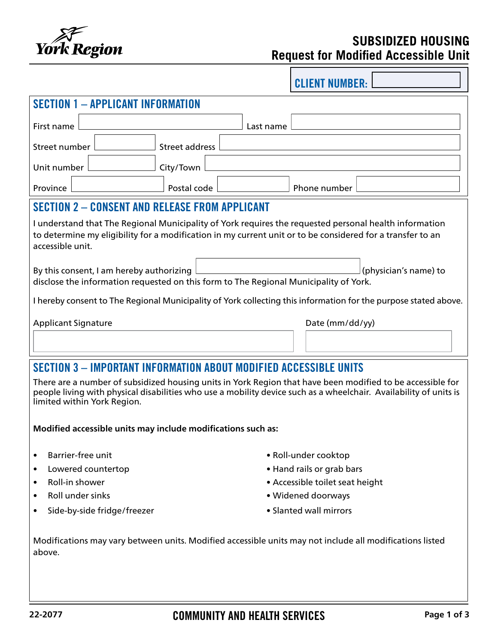

# **SUBSIDIZED HOUSING Request for Modified Accessible Unit**

CLIENT NUMBER:

| <b>SECTION 1 - APPLICANT INFORMATION</b>                                                                                                                                                                                                                       |                |                 |  |  |
|----------------------------------------------------------------------------------------------------------------------------------------------------------------------------------------------------------------------------------------------------------------|----------------|-----------------|--|--|
| First name                                                                                                                                                                                                                                                     |                | Last name       |  |  |
| Street number                                                                                                                                                                                                                                                  | Street address |                 |  |  |
| Unit number                                                                                                                                                                                                                                                    | City/Town      |                 |  |  |
| Province                                                                                                                                                                                                                                                       | Postal code    | Phone number    |  |  |
| <b>SECTION 2 - CONSENT AND RELEASE FROM APPLICANT</b>                                                                                                                                                                                                          |                |                 |  |  |
| I understand that The Regional Municipality of York requires the requested personal health information<br>to determine my eligibility for a modification in my current unit or to be considered for a transfer to an<br>accessible unit.                       |                |                 |  |  |
| (physician's name) to<br>By this consent, I am hereby authorizing<br>disclose the information requested on this form to The Regional Municipality of York.                                                                                                     |                |                 |  |  |
| I hereby consent to The Regional Municipality of York collecting this information for the purpose stated above.                                                                                                                                                |                |                 |  |  |
| <b>Applicant Signature</b>                                                                                                                                                                                                                                     |                | Date (mm/dd/yy) |  |  |
| SECTION 3 - IMPORTANT INFORMATION ABOUT MODIFIED ACCESSIBLE UNITS                                                                                                                                                                                              |                |                 |  |  |
| There are a number of subsidized housing units in York Region that have been modified to be accessible for<br>people living with physical disabilities who use a mobility device such as a wheelchair. Availability of units is<br>limited within York Region. |                |                 |  |  |

**Modified accessible units may include modifications such as:**

- 
- Lowered countertop  **Lowered countertop**
- 
- 
- Side-by-side fridge/freezer Slanted wall mirrors
- Barrier-free unit  **Roll-under cooktop** 
	-
- Roll-in shower  **Accessible toilet seat height** Accessible toilet seat height
- Roll under sinks  **Widened doorways** 
	-

Modifications may vary between units. Modified accessible units may not include all modifications listed above.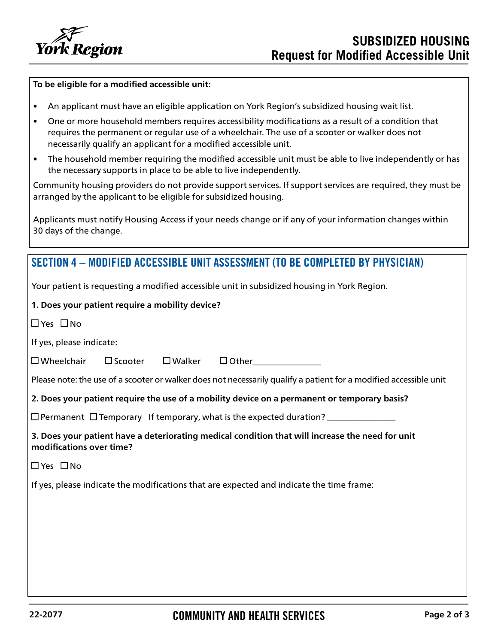

#### **To be eligible for a modified accessible unit:**

- An applicant must have an eligible application on York Region's subsidized housing wait list.
- One or more household members requires accessibility modifications as a result of a condition that requires the permanent or regular use of a wheelchair. The use of a scooter or walker does not necessarily qualify an applicant for a modified accessible unit.
- The household member requiring the modified accessible unit must be able to live independently or has the necessary supports in place to be able to live independently.

Community housing providers do not provide support services. If support services are required, they must be arranged by the applicant to be eligible for subsidized housing.

Applicants must notify Housing Access if your needs change or if any of your information changes within 30 days of the change.

## SECTION 4 – MODIFIED ACCESSIBLE UNIT ASSESSMENT (TO BE COMPLETED BY PHYSICIAN)

Your patient is requesting a modified accessible unit in subsidized housing in York Region.

### **1. Does your patient require a mobility device?**

 $\Box$  Yes  $\Box$  No

 $\Box$  Yes  $\Box$  No

If yes, please indicate:

 $\square$  Wheelchair  $\square$  Scooter  $\square$  Walker  $\square$  Other

Please note: the use of a scooter or walker does not necessarily qualify a patient for a modified accessible unit

**2. Does your patient require the use of a mobility device on a permanent or temporary basis?**

 $\square$  Permanent  $\square$  Temporary If temporary, what is the expected duration?  $\_\_$ 

**3. Does your patient have a deteriorating medical condition that will increase the need for unit modifications over time?** 

If yes, please indicate the modifications that are expected and indicate the time frame: